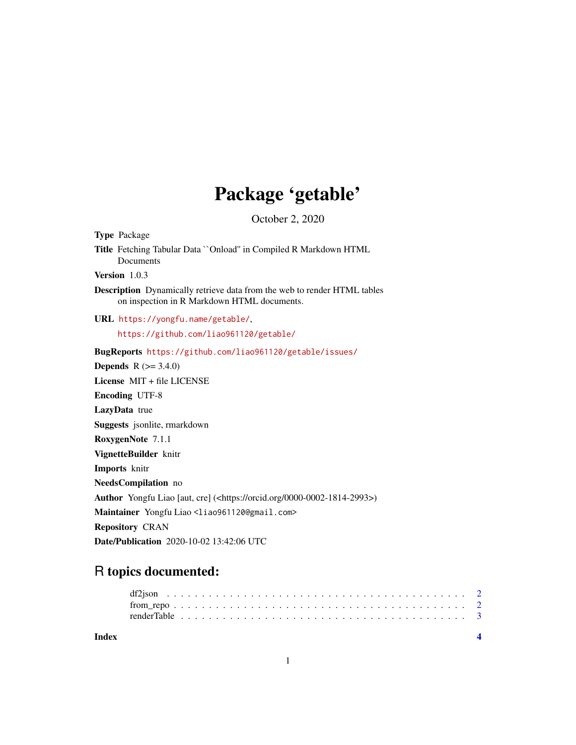# Package 'getable'

October 2, 2020

<span id="page-0-0"></span>

| Type Package                                                                                                            |
|-------------------------------------------------------------------------------------------------------------------------|
| Title Fetching Tabular Data "Onload" in Compiled R Markdown HTML<br>Documents                                           |
| Version 1.0.3                                                                                                           |
| Description Dynamically retrieve data from the web to render HTML tables<br>on inspection in R Markdown HTML documents. |
| URL https://yongfu.name/getable/,                                                                                       |
| https://github.com/liao961120/getable/                                                                                  |
| BugReports https://github.com/liao961120/getable/issues/                                                                |
| <b>Depends</b> $R (= 3.4.0)$                                                                                            |
| License MIT + file LICENSE                                                                                              |
| <b>Encoding UTF-8</b>                                                                                                   |
| LazyData true                                                                                                           |
| Suggests jsonlite, rmarkdown                                                                                            |
| RoxygenNote 7.1.1                                                                                                       |
| VignetteBuilder knitr                                                                                                   |
| Imports knitr                                                                                                           |
| NeedsCompilation no                                                                                                     |
| Author Yongfu Liao [aut, cre] ( <https: 0000-0002-1814-2993="" orcid.org="">)</https:>                                  |
| Maintainer Yongfu Liao <liao961120@gmail.com></liao961120@gmail.com>                                                    |
| <b>Repository CRAN</b>                                                                                                  |
| Date/Publication 2020-10-02 13:42:06 UTC                                                                                |

# R topics documented:

| Index |  |  |  |  |  |  |  |  |  |  |  |  |  |  |  |  |  |  |  |  |  |  |
|-------|--|--|--|--|--|--|--|--|--|--|--|--|--|--|--|--|--|--|--|--|--|--|
|       |  |  |  |  |  |  |  |  |  |  |  |  |  |  |  |  |  |  |  |  |  |  |
|       |  |  |  |  |  |  |  |  |  |  |  |  |  |  |  |  |  |  |  |  |  |  |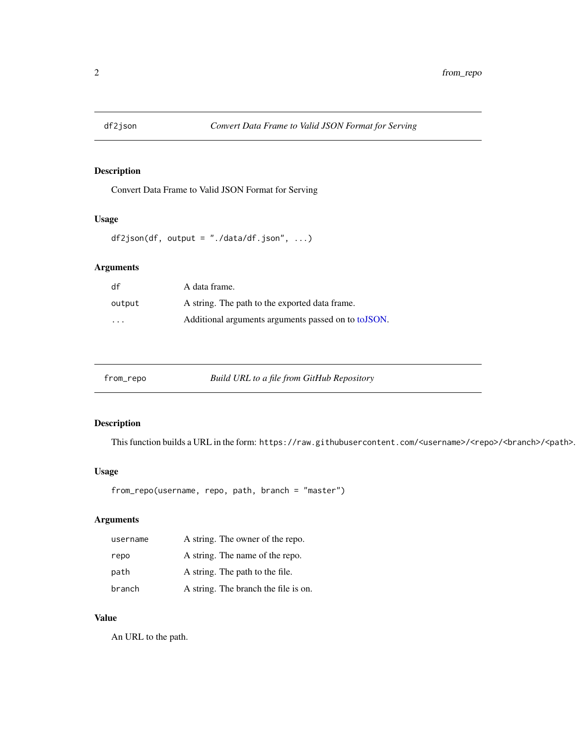<span id="page-1-0"></span>

# Description

Convert Data Frame to Valid JSON Format for Serving

# Usage

```
df2json(df, output = "./data/df.json", ...)
```
# Arguments

| df     | A data frame.                                        |
|--------|------------------------------------------------------|
| output | A string. The path to the exported data frame.       |
| .      | Additional arguments arguments passed on to to JSON. |

| from_repo | Build URL to a file from GitHub Repository |
|-----------|--------------------------------------------|
|           |                                            |

# Description

This function builds a URL in the form: https://raw.githubusercontent.com/<username>/<repo>/<br/>branch>/<path>.

#### Usage

```
from_repo(username, repo, path, branch = "master")
```
# Arguments

| username | A string. The owner of the repo.     |
|----------|--------------------------------------|
| repo     | A string. The name of the repo.      |
| path     | A string. The path to the file.      |
| branch   | A string. The branch the file is on. |

#### Value

An URL to the path.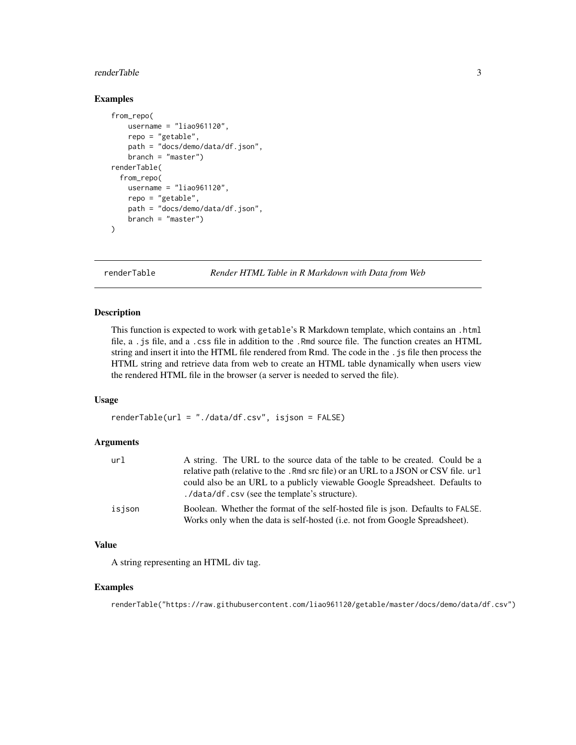#### <span id="page-2-0"></span>renderTable 3

# Examples

```
from_repo(
   username = "liao961120",
   repo = "getable",
   path = "docs/demo/data/df.json",
   branch = "master")
renderTable(
 from_repo(
   username = "liao961120",
   repo = "getable",
   path = "docs/demo/data/df.json",
   branch = "master")
)
```
renderTable *Render HTML Table in R Markdown with Data from Web*

#### Description

This function is expected to work with getable's R Markdown template, which contains an .html file, a .js file, and a .css file in addition to the .Rmd source file. The function creates an HTML string and insert it into the HTML file rendered from Rmd. The code in the .js file then process the HTML string and retrieve data from web to create an HTML table dynamically when users view the rendered HTML file in the browser (a server is needed to served the file).

#### Usage

renderTable(url = "./data/df.csv", isjson = FALSE)

#### Arguments

| url    | A string. The URL to the source data of the table to be created. Could be a                                                                                    |
|--------|----------------------------------------------------------------------------------------------------------------------------------------------------------------|
|        | relative path (relative to the . Rmd src file) or an URL to a JSON or CSV file. url                                                                            |
|        | could also be an URL to a publicly viewable Google Spreadsheet. Defaults to<br>./data/df.csv (see the template's structure).                                   |
| isjson | Boolean. Whether the format of the self-hosted file is json. Defaults to FALSE.<br>Works only when the data is self-hosted (i.e. not from Google Spreadsheet). |

### Value

A string representing an HTML div tag.

#### Examples

renderTable("https://raw.githubusercontent.com/liao961120/getable/master/docs/demo/data/df.csv")